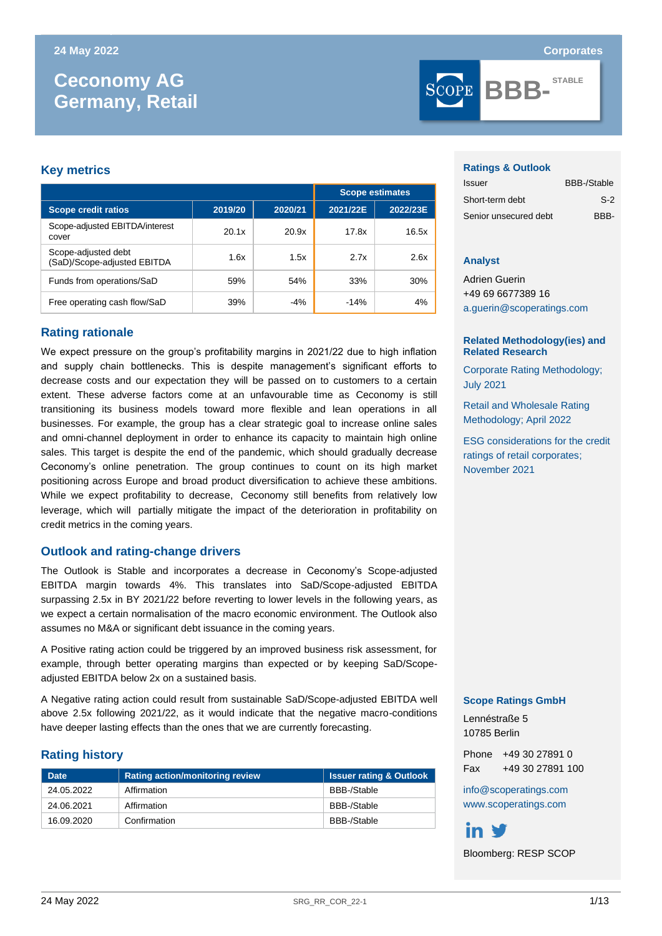# **Ceconomy AG Germany, Retail**

# **Key metrics**

|                                                    | <b>Scope estimates</b> |         |          |          |
|----------------------------------------------------|------------------------|---------|----------|----------|
| <b>Scope credit ratios</b>                         | 2019/20                | 2020/21 | 2021/22E | 2022/23E |
| Scope-adjusted EBITDA/interest<br>cover            | 20.1x                  | 20.9x   | 17.8x    | 16.5x    |
| Scope-adjusted debt<br>(SaD)/Scope-adjusted EBITDA | 1.6x                   | 1.5x    | 2.7x     | 2.6x     |
| Funds from operations/SaD                          | 59%                    | 54%     | 33%      | 30%      |
| Free operating cash flow/SaD                       | 39%                    | $-4%$   | $-14%$   | 4%       |

# **Rating rationale**

We expect pressure on the group's profitability margins in 2021/22 due to high inflation and supply chain bottlenecks. This is despite management's significant efforts to decrease costs and our expectation they will be passed on to customers to a certain extent. These adverse factors come at an unfavourable time as Ceconomy is still transitioning its business models toward more flexible and lean operations in all businesses. For example, the group has a clear strategic goal to increase online sales and omni-channel deployment in order to enhance its capacity to maintain high online sales. This target is despite the end of the pandemic, which should gradually decrease Ceconomy's online penetration. The group continues to count on its high market positioning across Europe and broad product diversification to achieve these ambitions. While we expect profitability to decrease, Ceconomy still benefits from relatively low leverage, which will partially mitigate the impact of the deterioration in profitability on credit metrics in the coming years.

# **Outlook and rating-change drivers**

The Outlook is Stable and incorporates a decrease in Ceconomy's Scope-adjusted EBITDA margin towards 4%. This translates into SaD/Scope-adjusted EBITDA surpassing 2.5x in BY 2021/22 before reverting to lower levels in the following years, as we expect a certain normalisation of the macro economic environment. The Outlook also assumes no M&A or significant debt issuance in the coming years.

A Positive rating action could be triggered by an improved business risk assessment, for example, through better operating margins than expected or by keeping SaD/Scopeadjusted EBITDA below 2x on a sustained basis.

A Negative rating action could result from sustainable SaD/Scope-adjusted EBITDA well above 2.5x following 2021/22, as it would indicate that the negative macro-conditions have deeper lasting effects than the ones that we are currently forecasting.

# **Rating history**

| <b>Date</b> | <b>Rating action/monitoring review</b> | <b>Issuer rating &amp; Outlook</b> |
|-------------|----------------------------------------|------------------------------------|
| 24.05.2022  | Affirmation                            | BBB-/Stable                        |
| 24.06.2021  | Affirmation                            | BBB-/Stable                        |
| 16.09.2020  | Confirmation                           | BBB-/Stable                        |

**BBB-STABLE**

#### **Ratings & Outlook**

| Issuer                | <b>BBB-/Stable</b> |
|-----------------------|--------------------|
| Short-term debt       | $S-2$              |
| Senior unsecured debt | BBB-               |

## **Analyst**

Adrien Guerin +49 69 6677389 16 [a.guerin@scoperatings.com](mailto:a.guerin@scoperatings.com)

## **Related Methodology(ies) and Related Research**

[Corporate Rating Methodology;](https://www.scopegroup.com/ScopeGroupApi/api/methodology?id=288180ad-b908-4f1b-872b-40617a2da901) [July 2021](https://www.scopegroup.com/ScopeGroupApi/api/methodology?id=288180ad-b908-4f1b-872b-40617a2da901)

[Retail and Wholesale Rating](http://www.scoperatings.com/ScopeRatingsApi/api/downloadmethodology?id=ab003ea3-ce6f-4c10-9869-7f0858eae451)  [Methodology; April 2022](http://www.scoperatings.com/ScopeRatingsApi/api/downloadmethodology?id=ab003ea3-ce6f-4c10-9869-7f0858eae451)

[ESG considerations for the credit](http://www.scoperatings.com/ScopeRatingsApi/api/downloadstudy?id=1adcebbc-6a68-4037-b54a-23ae95ef9397)  [ratings of retail corporates;](http://www.scoperatings.com/ScopeRatingsApi/api/downloadstudy?id=1adcebbc-6a68-4037-b54a-23ae95ef9397) November 2021

## **Scope Ratings GmbH**

Lennéstraße 5 10785 Berlin

Phone +49 30 27891 0 Fax +49 30 27891 100

[info@scoperatings.com](mailto:info@scoperatings.com) [www.scoperatings.com](https://www.scoperatings.com/#home)

in V Bloomberg: RESP SCOP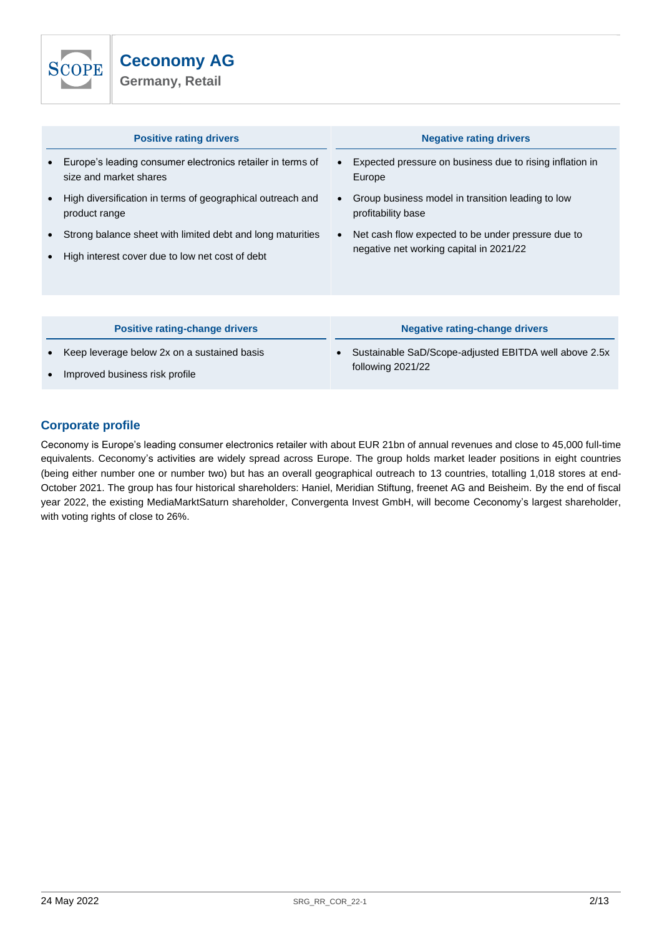

| <b>Positive rating drivers</b>                                                                                | <b>Negative rating drivers</b>                                                                             |
|---------------------------------------------------------------------------------------------------------------|------------------------------------------------------------------------------------------------------------|
| Europe's leading consumer electronics retailer in terms of<br>size and market shares                          | Expected pressure on business due to rising inflation in<br>Europe                                         |
| High diversification in terms of geographical outreach and<br>product range                                   | Group business model in transition leading to low<br>profitability base                                    |
| Strong balance sheet with limited debt and long maturities<br>High interest cover due to low net cost of debt | Net cash flow expected to be under pressure due to<br>$\bullet$<br>negative net working capital in 2021/22 |
| <b>Positive rating-change drivers</b>                                                                         | <b>Negative rating-change drivers</b>                                                                      |
| Keep leverage below 2x on a sustained basis                                                                   | Sustainable SaD/Scope-adjusted EBITDA well above 2.5x<br>following 2021/22                                 |

• Improved business risk profile

# **Corporate profile**

Ceconomy is Europe's leading consumer electronics retailer with about EUR 21bn of annual revenues and close to 45,000 full-time equivalents. Ceconomy's activities are widely spread across Europe. The group holds market leader positions in eight countries (being either number one or number two) but has an overall geographical outreach to 13 countries, totalling 1,018 stores at end-October 2021. The group has four historical shareholders: Haniel, Meridian Stiftung, freenet AG and Beisheim. By the end of fiscal year 2022, the existing MediaMarktSaturn shareholder, Convergenta Invest GmbH, will become Ceconomy's largest shareholder, with voting rights of close to 26%.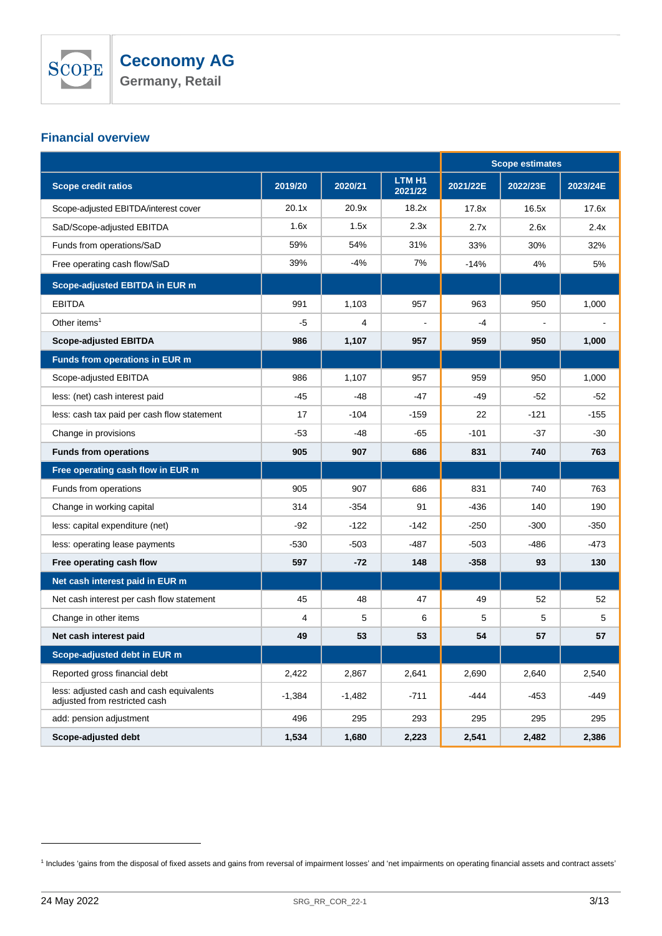

# **Financial overview**

|                                                                           |          |          |                   | <b>Scope estimates</b> |          |          |
|---------------------------------------------------------------------------|----------|----------|-------------------|------------------------|----------|----------|
| <b>Scope credit ratios</b>                                                | 2019/20  | 2020/21  | LTM H1<br>2021/22 | 2021/22E               | 2022/23E | 2023/24E |
| Scope-adjusted EBITDA/interest cover                                      | 20.1x    | 20.9x    | 18.2x             | 17.8x                  | 16.5x    | 17.6x    |
| SaD/Scope-adjusted EBITDA                                                 | 1.6x     | 1.5x     | 2.3x              | 2.7x                   | 2.6x     | 2.4x     |
| Funds from operations/SaD                                                 | 59%      | 54%      | 31%               | 33%                    | 30%      | 32%      |
| Free operating cash flow/SaD                                              | 39%      | -4%      | 7%                | $-14%$                 | 4%       | 5%       |
| Scope-adjusted EBITDA in EUR m                                            |          |          |                   |                        |          |          |
| <b>EBITDA</b>                                                             | 991      | 1,103    | 957               | 963                    | 950      | 1,000    |
| Other items <sup>1</sup>                                                  | -5       | 4        |                   | $-4$                   |          |          |
| <b>Scope-adjusted EBITDA</b>                                              | 986      | 1,107    | 957               | 959                    | 950      | 1,000    |
| Funds from operations in EUR m                                            |          |          |                   |                        |          |          |
| Scope-adjusted EBITDA                                                     | 986      | 1,107    | 957               | 959                    | 950      | 1,000    |
| less: (net) cash interest paid                                            | $-45$    | -48      | -47               | -49                    | $-52$    | $-52$    |
| less: cash tax paid per cash flow statement                               | 17       | $-104$   | $-159$            | 22                     | $-121$   | $-155$   |
| Change in provisions                                                      | -53      | -48      | -65               | $-101$                 | $-37$    | -30      |
| <b>Funds from operations</b>                                              | 905      | 907      | 686               | 831                    | 740      | 763      |
| Free operating cash flow in EUR m                                         |          |          |                   |                        |          |          |
| Funds from operations                                                     | 905      | 907      | 686               | 831                    | 740      | 763      |
| Change in working capital                                                 | 314      | $-354$   | 91                | -436                   | 140      | 190      |
| less: capital expenditure (net)                                           | -92      | $-122$   | $-142$            | $-250$                 | $-300$   | $-350$   |
| less: operating lease payments                                            | $-530$   | $-503$   | -487              | $-503$                 | -486     | -473     |
| Free operating cash flow                                                  | 597      | -72      | 148               | $-358$                 | 93       | 130      |
| Net cash interest paid in EUR m                                           |          |          |                   |                        |          |          |
| Net cash interest per cash flow statement                                 | 45       | 48       | 47                | 49                     | 52       | 52       |
| Change in other items                                                     | 4        | 5        | 6                 | 5                      | 5        | 5        |
| Net cash interest paid                                                    | 49       | 53       | 53                | 54                     | 57       | 57       |
| Scope-adjusted debt in EUR m                                              |          |          |                   |                        |          |          |
| Reported gross financial debt                                             | 2,422    | 2,867    | 2,641             | 2,690                  | 2,640    | 2,540    |
| less: adjusted cash and cash equivalents<br>adjusted from restricted cash | $-1,384$ | $-1,482$ | $-711$            | $-444$                 | -453     | $-449$   |
| add: pension adjustment                                                   | 496      | 295      | 293               | 295                    | 295      | 295      |
| Scope-adjusted debt                                                       | 1,534    | 1,680    | 2,223             | 2,541                  | 2,482    | 2,386    |

<sup>&</sup>lt;sup>1</sup> Includes 'gains from the disposal of fixed assets and gains from reversal of impairment losses' and 'net impairments on operating financial assets and contract assets'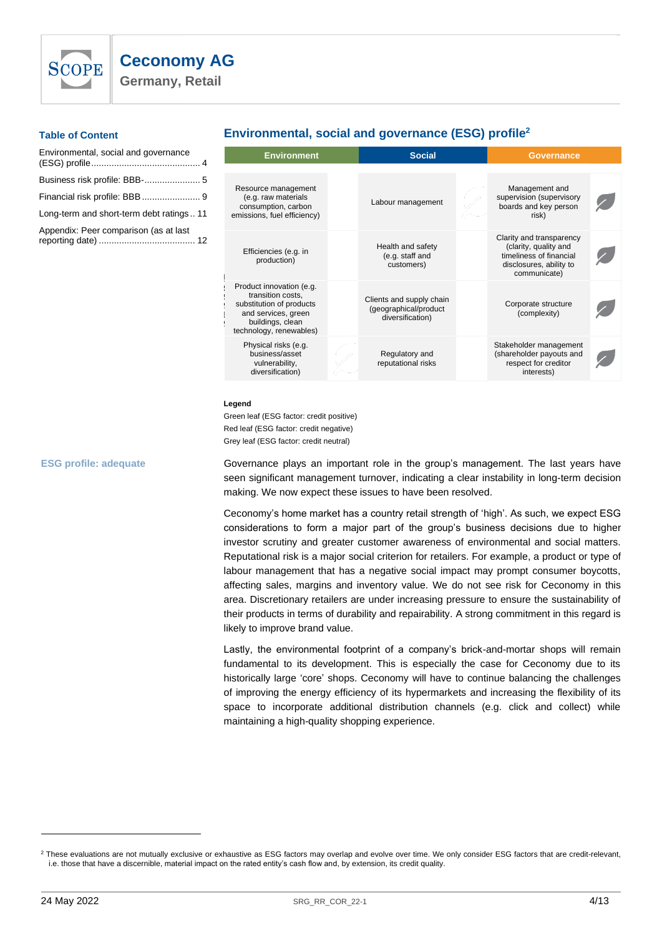

**Germany, Retail**

## **Table of Content**

| Environmental, social and governance    |  |
|-----------------------------------------|--|
|                                         |  |
|                                         |  |
| Long-term and short-term debt ratings11 |  |
| Appendix: Peer comparison (as at last   |  |

# <span id="page-3-0"></span>**Environmental, social and governance (ESG) profile<sup>2</sup>**

| <b>Environment</b>                                                                                                                              | <b>Social</b>                                                         |  |                                                                                                                         |  |
|-------------------------------------------------------------------------------------------------------------------------------------------------|-----------------------------------------------------------------------|--|-------------------------------------------------------------------------------------------------------------------------|--|
|                                                                                                                                                 |                                                                       |  |                                                                                                                         |  |
| Resource management<br>(e.g. raw materials<br>consumption, carbon<br>emissions, fuel efficiency)                                                | Labour management                                                     |  | Management and<br>supervision (supervisory<br>boards and key person<br>risk)                                            |  |
| Efficiencies (e.g. in<br>production)                                                                                                            | Health and safety<br>(e.g. staff and<br>customers)                    |  | Clarity and transparency<br>(clarity, quality and<br>timeliness of financial<br>disclosures, ability to<br>communicate) |  |
| Product innovation (e.g.<br>transition costs,<br>substitution of products<br>and services, green<br>buildings, clean<br>technology, renewables) | Clients and supply chain<br>(geographical/product<br>diversification) |  | Corporate structure<br>(complexity)                                                                                     |  |
| Physical risks (e.g.<br>business/asset<br>vulnerability,<br>diversification)                                                                    | Regulatory and<br>reputational risks                                  |  | Stakeholder management<br>(shareholder payouts and<br>respect for creditor<br>interests)                                |  |
|                                                                                                                                                 |                                                                       |  |                                                                                                                         |  |

#### **Legend**

Green leaf (ESG factor: credit positive) Red leaf (ESG factor: credit negative) Grey leaf (ESG factor: credit neutral)

**ESG profile: adequate**

Governance plays an important role in the group's management. The last years have seen significant management turnover, indicating a clear instability in long-term decision making. We now expect these issues to have been resolved.

Ceconomy's home market has a country retail strength of 'high'. As such, we expect ESG considerations to form a major part of the group's business decisions due to higher investor scrutiny and greater customer awareness of environmental and social matters. Reputational risk is a major social criterion for retailers. For example, a product or type of labour management that has a negative social impact may prompt consumer boycotts, affecting sales, margins and inventory value. We do not see risk for Ceconomy in this area. Discretionary retailers are under increasing pressure to ensure the sustainability of their products in terms of durability and repairability. A strong commitment in this regard is likely to improve brand value.

Lastly, the environmental footprint of a company's brick-and-mortar shops will remain fundamental to its development. This is especially the case for Ceconomy due to its historically large 'core' shops. Ceconomy will have to continue balancing the challenges of improving the energy efficiency of its hypermarkets and increasing the flexibility of its space to incorporate additional distribution channels (e.g. click and collect) while maintaining a high-quality shopping experience.

<sup>&</sup>lt;sup>2</sup> These evaluations are not mutually exclusive or exhaustive as ESG factors may overlap and evolve over time. We only consider ESG factors that are credit-relevant, i.e. those that have a discernible, material impact on the rated entity's cash flow and, by extension, its credit quality.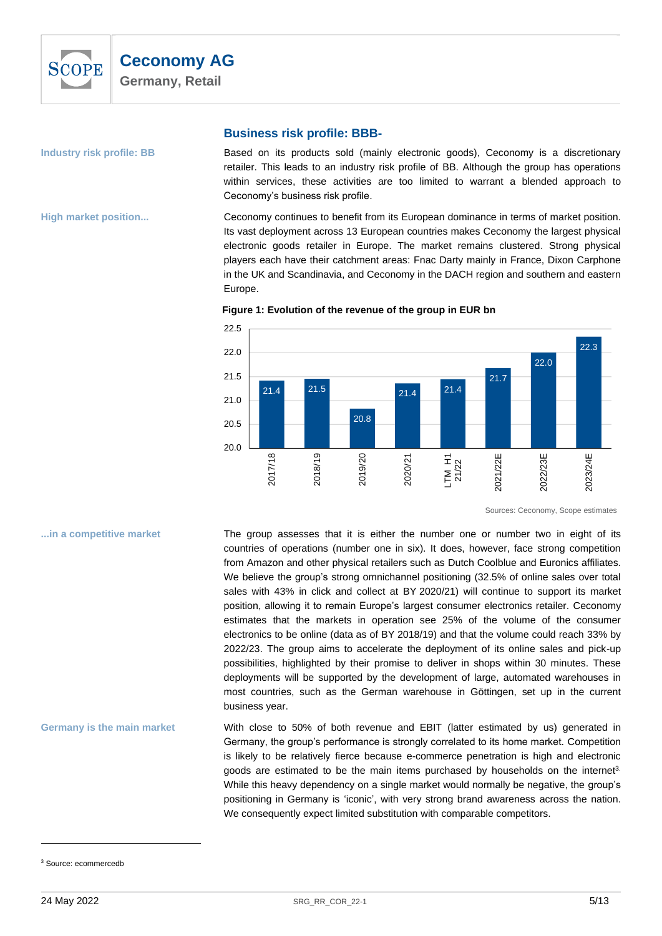

### <span id="page-4-0"></span>**Industry risk profile: BB**

**High market position...**

## **Business risk profile: BBB-**

Based on its products sold (mainly electronic goods), Ceconomy is a discretionary retailer. This leads to an industry risk profile of BB. Although the group has operations within services, these activities are too limited to warrant a blended approach to Ceconomy's business risk profile.

Ceconomy continues to benefit from its European dominance in terms of market position. Its vast deployment across 13 European countries makes Ceconomy the largest physical electronic goods retailer in Europe. The market remains clustered. Strong physical players each have their catchment areas: Fnac Darty mainly in France, Dixon Carphone in the UK and Scandinavia, and Ceconomy in the DACH region and southern and eastern Europe.



**Figure 1: Evolution of the revenue of the group in EUR bn**

Sources: Ceconomy, Scope estimates

# The group assesses that it is either the number one or number two in eight of its countries of operations (number one in six). It does, however, face strong competition from Amazon and other physical retailers such as Dutch Coolblue and Euronics affiliates. We believe the group's strong omnichannel positioning (32.5% of online sales over total sales with 43% in click and collect at BY 2020/21) will continue to support its market position, allowing it to remain Europe's largest consumer electronics retailer. Ceconomy estimates that the markets in operation see 25% of the volume of the consumer electronics to be online (data as of BY 2018/19) and that the volume could reach 33% by 2022/23. The group aims to accelerate the deployment of its online sales and pick-up possibilities, highlighted by their promise to deliver in shops within 30 minutes. These deployments will be supported by the development of large, automated warehouses in most countries, such as the German warehouse in Göttingen, set up in the current business year. **...in a competitive market**

With close to 50% of both revenue and EBIT (latter estimated by us) generated in Germany, the group's performance is strongly correlated to its home market. Competition is likely to be relatively fierce because e-commerce penetration is high and electronic goods are estimated to be the main items purchased by households on the internet<sup>3.</sup> While this heavy dependency on a single market would normally be negative, the group's positioning in Germany is 'iconic', with very strong brand awareness across the nation. We consequently expect limited substitution with comparable competitors. **Germany is the main market**

<sup>3</sup> Source: ecommercedb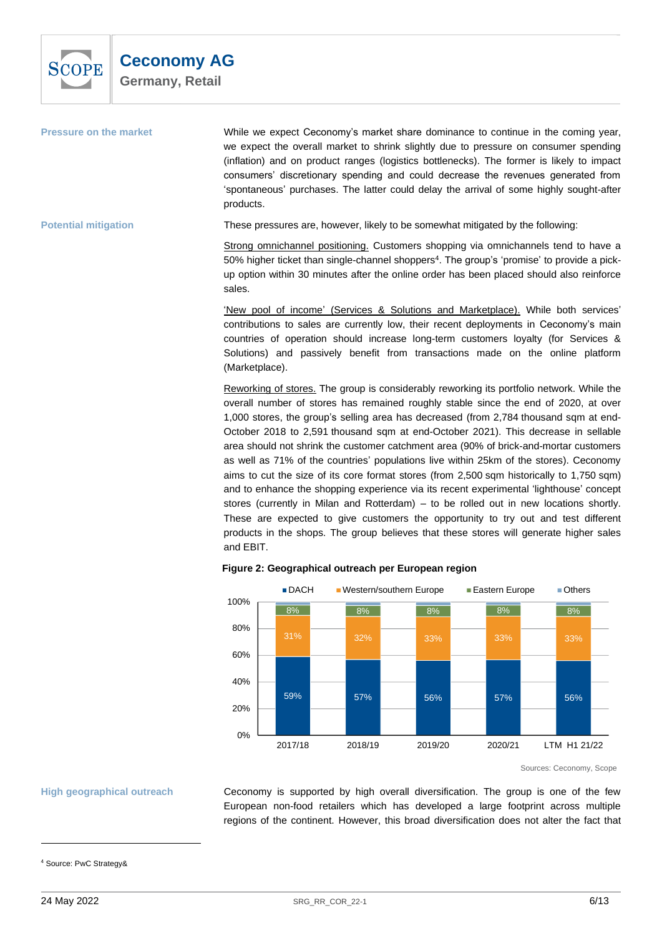

| <b>Pressure on the market</b> | While we expect Ceconomy's market share dominance to continue in the coming year,<br>we expect the overall market to shrink slightly due to pressure on consumer spending<br>(inflation) and on product ranges (logistics bottlenecks). The former is likely to impact<br>consumers' discretionary spending and could decrease the revenues generated from<br>'spontaneous' purchases. The latter could delay the arrival of some highly sought-after<br>products. |
|-------------------------------|--------------------------------------------------------------------------------------------------------------------------------------------------------------------------------------------------------------------------------------------------------------------------------------------------------------------------------------------------------------------------------------------------------------------------------------------------------------------|
| <b>Potential mitigation</b>   | These pressures are, however, likely to be somewhat mitigated by the following:                                                                                                                                                                                                                                                                                                                                                                                    |

Strong omnichannel positioning. Customers shopping via omnichannels tend to have a 50% higher ticket than single-channel shoppers<sup>4</sup>. The group's 'promise' to provide a pickup option within 30 minutes after the online order has been placed should also reinforce sales.

'New pool of income' (Services & Solutions and Marketplace). While both services' contributions to sales are currently low, their recent deployments in Ceconomy's main countries of operation should increase long-term customers loyalty (for Services & Solutions) and passively benefit from transactions made on the online platform (Marketplace).

Reworking of stores. The group is considerably reworking its portfolio network. While the overall number of stores has remained roughly stable since the end of 2020, at over 1,000 stores, the group's selling area has decreased (from 2,784 thousand sqm at end-October 2018 to 2,591 thousand sqm at end-October 2021). This decrease in sellable area should not shrink the customer catchment area (90% of brick-and-mortar customers as well as 71% of the countries' populations live within 25km of the stores). Ceconomy aims to cut the size of its core format stores (from 2,500 sqm historically to 1,750 sqm) and to enhance the shopping experience via its recent experimental 'lighthouse' concept stores (currently in Milan and Rotterdam) – to be rolled out in new locations shortly. These are expected to give customers the opportunity to try out and test different products in the shops. The group believes that these stores will generate higher sales and EBIT.



## **Figure 2: Geographical outreach per European region**

Ceconomy is supported by high overall diversification. The group is one of the few European non-food retailers which has developed a large footprint across multiple regions of the continent. However, this broad diversification does not alter the fact that

Sources: Ceconomy, Scope

**High geographical outreach**

<sup>4</sup> Source: PwC Strategy&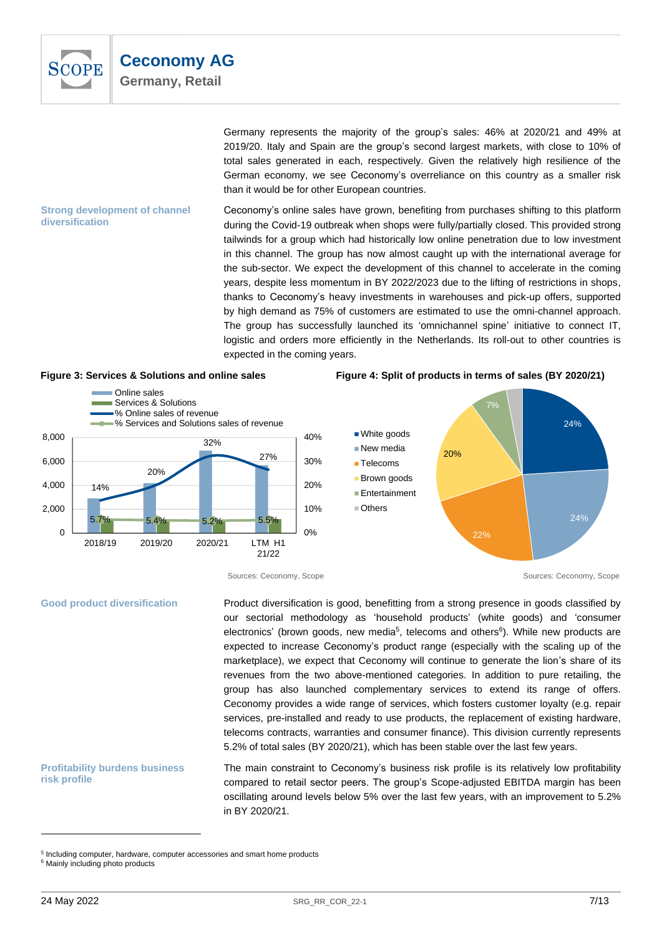

thanks to Ceconomy's heavy investments in warehouses and pick-up offers, supported by high demand as 75% of customers are estimated to use the omni-channel approach. The group has successfully launched its 'omnichannel spine' initiative to connect IT, logistic and orders more efficiently in the Netherlands. Its roll-out to other countries is expected in the coming years.





## **Figure 3: Services & Solutions and online sales Figure 4: Split of products in terms of sales (BY 2020/21)**



#### **Good product diversification**

Product diversification is good, benefitting from a strong presence in goods classified by our sectorial methodology as 'household products' (white goods) and 'consumer electronics' (brown goods, new media<sup>5</sup>, telecoms and others<sup>6</sup>). While new products are expected to increase Ceconomy's product range (especially with the scaling up of the marketplace), we expect that Ceconomy will continue to generate the lion's share of its revenues from the two above-mentioned categories. In addition to pure retailing, the group has also launched complementary services to extend its range of offers. Ceconomy provides a wide range of services, which fosters customer loyalty (e.g. repair services, pre-installed and ready to use products, the replacement of existing hardware, telecoms contracts, warranties and consumer finance). This division currently represents 5.2% of total sales (BY 2020/21), which has been stable over the last few years.

# The main constraint to Ceconomy's business risk profile is its relatively low profitability compared to retail sector peers. The group's Scope-adjusted EBITDA margin has been oscillating around levels below 5% over the last few years, with an improvement to 5.2% in BY 2020/21.

**Profitability burdens business** 

**risk profile**

<sup>&</sup>lt;sup>5</sup> Including computer, hardware, computer accessories and smart home products

<sup>&</sup>lt;sup>6</sup> Mainly including photo products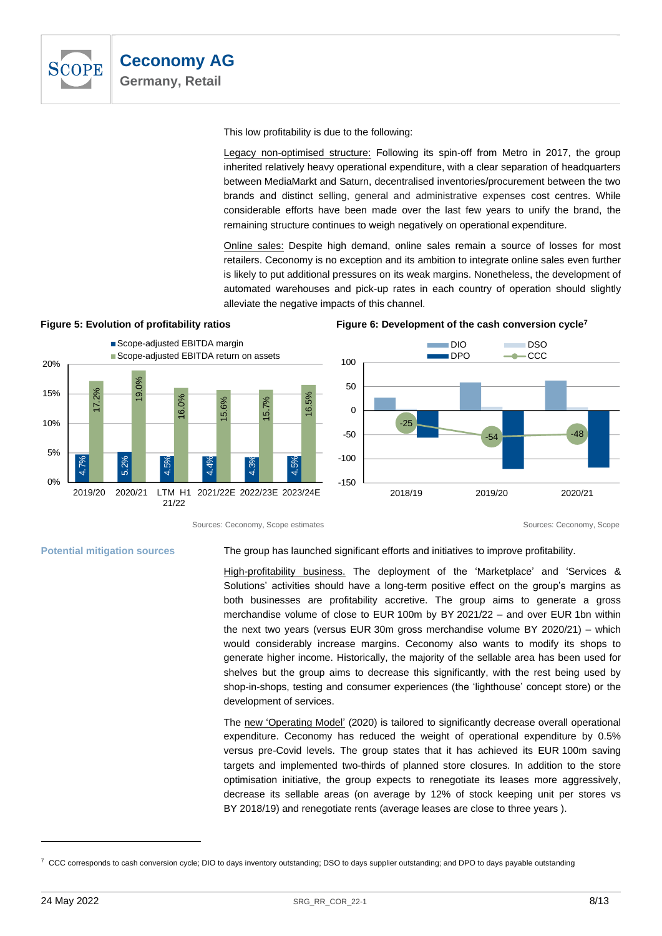

This low profitability is due to the following:

Legacy non-optimised structure: Following its spin-off from Metro in 2017, the group inherited relatively heavy operational expenditure, with a clear separation of headquarters between MediaMarkt and Saturn, decentralised inventories/procurement between the two brands and distinct selling, general and administrative expenses cost centres. While considerable efforts have been made over the last few years to unify the brand, the remaining structure continues to weigh negatively on operational expenditure.

Online sales: Despite high demand, online sales remain a source of losses for most retailers. Ceconomy is no exception and its ambition to integrate online sales even further is likely to put additional pressures on its weak margins. Nonetheless, the development of automated warehouses and pick-up rates in each country of operation should slightly alleviate the negative impacts of this channel.



# **Figure 5: Evolution of profitability ratios Figure 6: Development of the cash conversion cycle<sup>7</sup>**

Sources: Ceconomy, Scope estimates Sources: Ceconomy, Scope estimates Sources: Ceconomy, Scope estimates

**Potential mitigation sources**

The group has launched significant efforts and initiatives to improve profitability.

High-profitability business. The deployment of the 'Marketplace' and 'Services & Solutions' activities should have a long-term positive effect on the group's margins as both businesses are profitability accretive. The group aims to generate a gross merchandise volume of close to EUR 100m by BY 2021/22 – and over EUR 1bn within the next two years (versus EUR 30m gross merchandise volume BY 2020/21) – which would considerably increase margins. Ceconomy also wants to modify its shops to generate higher income. Historically, the majority of the sellable area has been used for shelves but the group aims to decrease this significantly, with the rest being used by shop-in-shops, testing and consumer experiences (the 'lighthouse' concept store) or the development of services.

The new 'Operating Model' (2020) is tailored to significantly decrease overall operational expenditure. Ceconomy has reduced the weight of operational expenditure by 0.5% versus pre-Covid levels. The group states that it has achieved its EUR 100m saving targets and implemented two-thirds of planned store closures. In addition to the store optimisation initiative, the group expects to renegotiate its leases more aggressively, decrease its sellable areas (on average by 12% of stock keeping unit per stores vs BY 2018/19) and renegotiate rents (average leases are close to three years ).

 $7$  CCC corresponds to cash conversion cycle; DIO to days inventory outstanding; DSO to days supplier outstanding; and DPO to days payable outstanding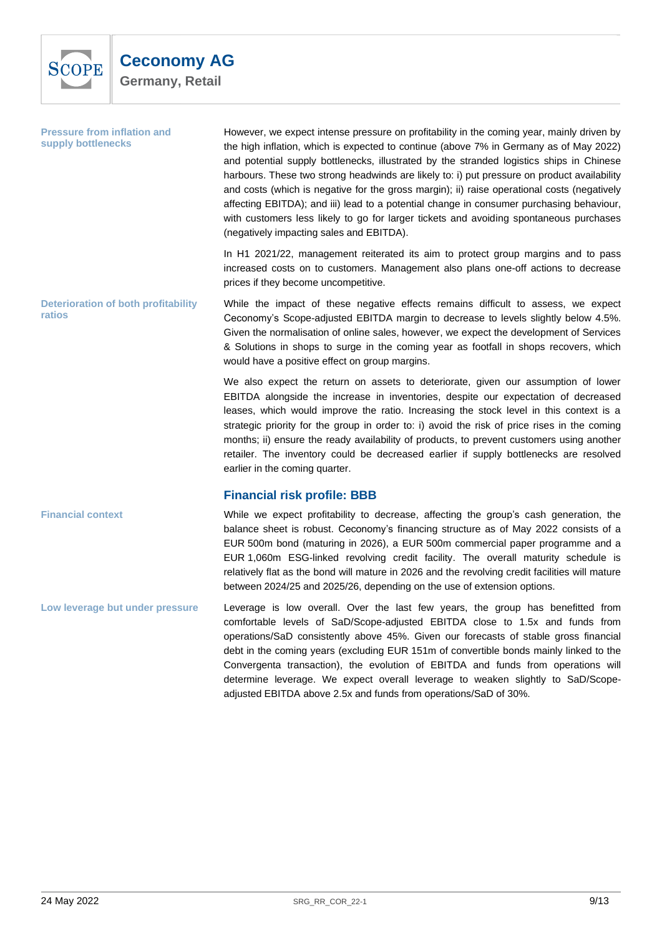

**Pressure from inflation and supply bottlenecks** 

However, we expect intense pressure on profitability in the coming year, mainly driven by the high inflation, which is expected to continue (above 7% in Germany as of May 2022) and potential supply bottlenecks, illustrated by the stranded logistics ships in Chinese harbours. These two strong headwinds are likely to: i) put pressure on product availability and costs (which is negative for the gross margin); ii) raise operational costs (negatively affecting EBITDA); and iii) lead to a potential change in consumer purchasing behaviour, with customers less likely to go for larger tickets and avoiding spontaneous purchases (negatively impacting sales and EBITDA).

In H1 2021/22, management reiterated its aim to protect group margins and to pass increased costs on to customers. Management also plans one-off actions to decrease prices if they become uncompetitive.

While the impact of these negative effects remains difficult to assess, we expect Ceconomy's Scope-adjusted EBITDA margin to decrease to levels slightly below 4.5%. Given the normalisation of online sales, however, we expect the development of Services & Solutions in shops to surge in the coming year as footfall in shops recovers, which would have a positive effect on group margins. **Deterioration of both profitability ratios**

> We also expect the return on assets to deteriorate, given our assumption of lower EBITDA alongside the increase in inventories, despite our expectation of decreased leases, which would improve the ratio. Increasing the stock level in this context is a strategic priority for the group in order to: i) avoid the risk of price rises in the coming months; ii) ensure the ready availability of products, to prevent customers using another retailer. The inventory could be decreased earlier if supply bottlenecks are resolved earlier in the coming quarter.

# **Financial risk profile: BBB**

While we expect profitability to decrease, affecting the group's cash generation, the balance sheet is robust. Ceconomy's financing structure as of May 2022 consists of a EUR 500m bond (maturing in 2026), a EUR 500m commercial paper programme and a EUR 1,060m ESG-linked revolving credit facility. The overall maturity schedule is relatively flat as the bond will mature in 2026 and the revolving credit facilities will mature between 2024/25 and 2025/26, depending on the use of extension options. **Financial context**

Leverage is low overall. Over the last few years, the group has benefitted from comfortable levels of SaD/Scope-adjusted EBITDA close to 1.5x and funds from operations/SaD consistently above 45%. Given our forecasts of stable gross financial debt in the coming years (excluding EUR 151m of convertible bonds mainly linked to the Convergenta transaction), the evolution of EBITDA and funds from operations will determine leverage. We expect overall leverage to weaken slightly to SaD/Scopeadjusted EBITDA above 2.5x and funds from operations/SaD of 30%. **Low leverage but under pressure**

<span id="page-8-0"></span>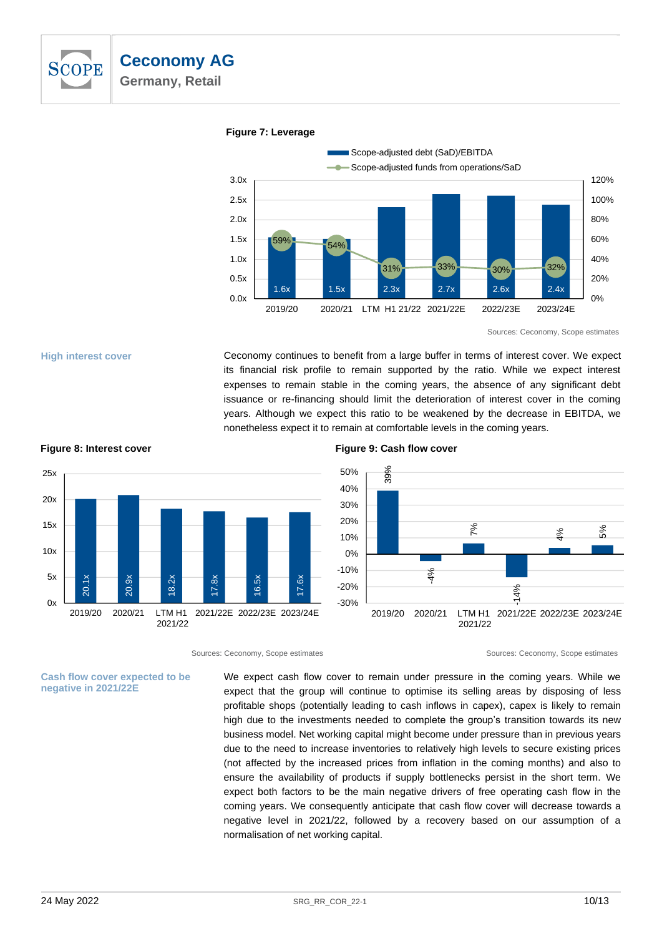

1.6x 1.5x 2.3x 2.7x 2.6x 2.4x 59% 54%  $31\%$   $33\%$   $30\%$   $30\%$   $32\%$ 0% 20% 40% 60% 80% 100% 120% 0.0x 0.5x 1.0x 1.5x 2.0x 2.5x 3.0x 2019/20 2020/21 LTM H1 21/22 2021/22E 2022/23E 2023/24E Scope-adjusted debt (SaD)/EBITDA Scope-adjusted funds from operations/SaD

## **Figure 7: Leverage**



**High interest cover**

Ceconomy continues to benefit from a large buffer in terms of interest cover. We expect its financial risk profile to remain supported by the ratio. While we expect interest expenses to remain stable in the coming years, the absence of any significant debt issuance or re-financing should limit the deterioration of interest cover in the coming years. Although we expect this ratio to be weakened by the decrease in EBITDA, we nonetheless expect it to remain at comfortable levels in the coming years.



### **Figure 8: Interest cover Figure 9: Cash flow cover**



Sources: Ceconomy, Scope estimates Sources: Ceconomy, Scope estimates

We expect cash flow cover to remain under pressure in the coming years. While we expect that the group will continue to optimise its selling areas by disposing of less profitable shops (potentially leading to cash inflows in capex), capex is likely to remain high due to the investments needed to complete the group's transition towards its new business model. Net working capital might become under pressure than in previous years due to the need to increase inventories to relatively high levels to secure existing prices (not affected by the increased prices from inflation in the coming months) and also to ensure the availability of products if supply bottlenecks persist in the short term. We expect both factors to be the main negative drivers of free operating cash flow in the coming years. We consequently anticipate that cash flow cover will decrease towards a negative level in 2021/22, followed by a recovery based on our assumption of a normalisation of net working capital.

**negative in 2021/22E**

**Cash flow cover expected to be**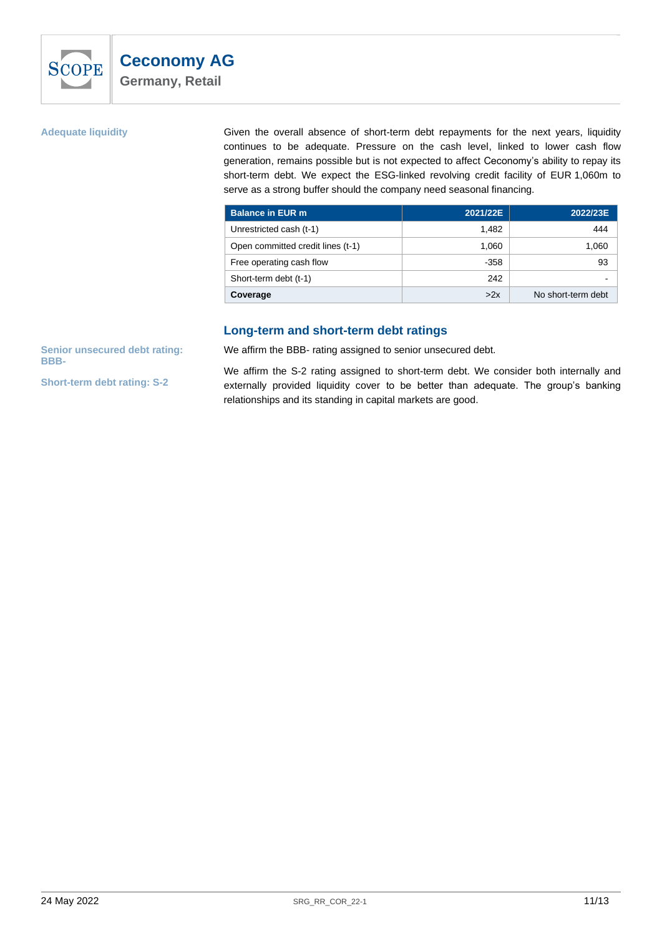

## **Adequate liquidity**

Given the overall absence of short-term debt repayments for the next years, liquidity continues to be adequate. Pressure on the cash level, linked to lower cash flow generation, remains possible but is not expected to affect Ceconomy's ability to repay its short-term debt. We expect the ESG-linked revolving credit facility of EUR 1,060m to serve as a strong buffer should the company need seasonal financing.

| <b>Balance in EUR m</b>           | 2021/22E | 2022/23E           |
|-----------------------------------|----------|--------------------|
| Unrestricted cash (t-1)           | 1.482    | 444                |
| Open committed credit lines (t-1) | 1.060    | 1,060              |
| Free operating cash flow          | $-358$   | 93                 |
| Short-term debt (t-1)             | 242      |                    |
| Coverage                          | >2x      | No short-term debt |

# **Long-term and short-term debt ratings**

<span id="page-10-0"></span>**Senior unsecured debt rating: BBB-**

**Short-term debt rating: S-2**

We affirm the BBB- rating assigned to senior unsecured debt.

We affirm the S-2 rating assigned to short-term debt. We consider both internally and externally provided liquidity cover to be better than adequate. The group's banking relationships and its standing in capital markets are good.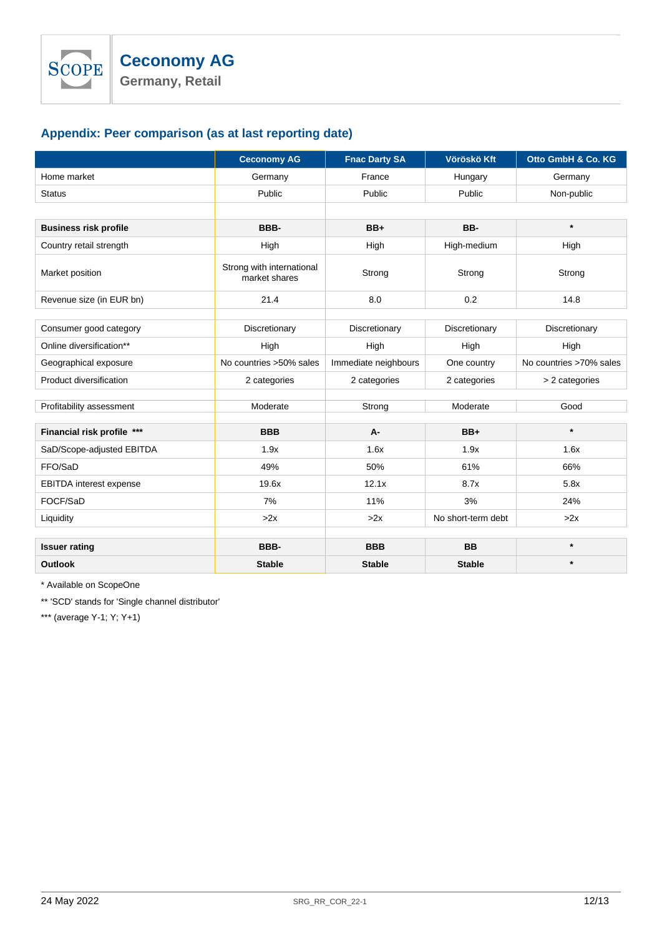# <span id="page-11-0"></span>**Appendix: Peer comparison (as at last reporting date)**

|                                | <b>Ceconomy AG</b>                         | <b>Fnac Darty SA</b> | Vöröskö Kft        | Otto GmbH & Co. KG      |
|--------------------------------|--------------------------------------------|----------------------|--------------------|-------------------------|
| Home market                    | Germany                                    | France               | Hungary            | Germany                 |
| <b>Status</b>                  | Public                                     | Public               | Public             | Non-public              |
|                                |                                            |                      |                    |                         |
| <b>Business risk profile</b>   | BBB-                                       | $BB+$                | BB-                | $\star$                 |
| Country retail strength        | High                                       | High                 | High-medium        | High                    |
| Market position                | Strong with international<br>market shares | Strong               | Strong             | Strong                  |
| Revenue size (in EUR bn)       | 21.4                                       | 8.0                  | 0.2                | 14.8                    |
|                                |                                            |                      |                    |                         |
| Consumer good category         | Discretionary                              | Discretionary        | Discretionary      | Discretionary           |
| Online diversification**       | High                                       | High                 | High               | High                    |
| Geographical exposure          | No countries >50% sales                    | Immediate neighbours | One country        | No countries >70% sales |
| Product diversification        | 2 categories                               | 2 categories         | 2 categories       | > 2 categories          |
|                                |                                            |                      |                    |                         |
| Profitability assessment       | Moderate                                   | Strong               | Moderate           | Good                    |
| Financial risk profile ***     | <b>BBB</b>                                 | A-                   | $BB+$              | $\star$                 |
| SaD/Scope-adjusted EBITDA      | 1.9x                                       | 1.6x                 | 1.9x               | 1.6x                    |
| FFO/SaD                        | 49%                                        | 50%                  | 61%                | 66%                     |
| <b>EBITDA</b> interest expense | 19.6x                                      | 12.1x                | 8.7x               | 5.8x                    |
| FOCF/SaD                       | 7%                                         | 11%                  | 3%                 | 24%                     |
| Liquidity                      | >2x                                        | >2x                  | No short-term debt | >2x                     |
|                                |                                            |                      |                    |                         |
| <b>Issuer rating</b>           | BBB-                                       | <b>BBB</b>           | <b>BB</b>          | $\star$                 |
| <b>Outlook</b>                 | <b>Stable</b>                              | <b>Stable</b>        | <b>Stable</b>      | $\star$                 |

\* Available on ScopeOne

\*\* 'SCD' stands for 'Single channel distributor'

\*\*\* (average Y-1; Y; Y+1)